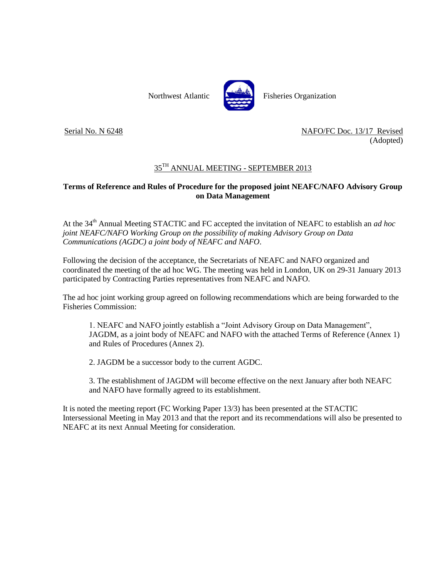

Serial No. N 6248 NAFO/FC Doc. 13/17 Revised (Adopted)

## $35^{\text{TH}}$  ANNUAL MEETING - SEPTEMBER 2013

## **Terms of Reference and Rules of Procedure for the proposed joint NEAFC/NAFO Advisory Group on Data Management**

At the 34th Annual Meeting STACTIC and FC accepted the invitation of NEAFC to establish an *ad hoc joint NEAFC/NAFO Working Group on the possibility of making Advisory Group on Data Communications (AGDC) a joint body of NEAFC and NAFO*.

Following the decision of the acceptance, the Secretariats of NEAFC and NAFO organized and coordinated the meeting of the ad hoc WG. The meeting was held in London, UK on 29-31 January 2013 participated by Contracting Parties representatives from NEAFC and NAFO.

The ad hoc joint working group agreed on following recommendations which are being forwarded to the Fisheries Commission:

1. NEAFC and NAFO jointly establish a "Joint Advisory Group on Data Management", JAGDM, as a joint body of NEAFC and NAFO with the attached Terms of Reference (Annex 1) and Rules of Procedures (Annex 2).

2. JAGDM be a successor body to the current AGDC.

3. The establishment of JAGDM will become effective on the next January after both NEAFC and NAFO have formally agreed to its establishment.

It is noted the meeting report (FC Working Paper 13/3) has been presented at the STACTIC Intersessional Meeting in May 2013 and that the report and its recommendations will also be presented to NEAFC at its next Annual Meeting for consideration.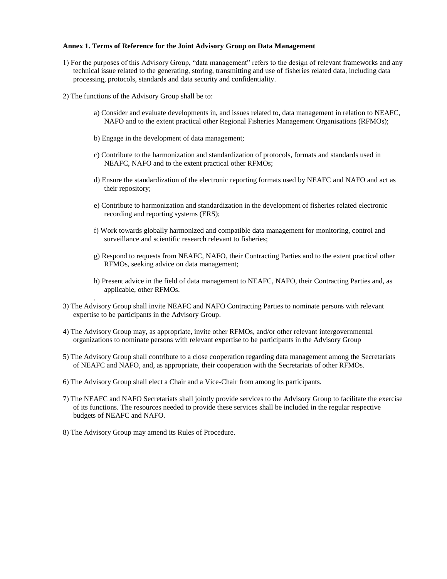## **Annex 1. Terms of Reference for the Joint Advisory Group on Data Management**

- 1) For the purposes of this Advisory Group, "data management" refers to the design of relevant frameworks and any technical issue related to the generating, storing, transmitting and use of fisheries related data, including data processing, protocols, standards and data security and confidentiality.
- 2) The functions of the Advisory Group shall be to:
	- a) Consider and evaluate developments in, and issues related to, data management in relation to NEAFC, NAFO and to the extent practical other Regional Fisheries Management Organisations (RFMOs);
	- b) Engage in the development of data management;
	- c) Contribute to the harmonization and standardization of protocols, formats and standards used in NEAFC, NAFO and to the extent practical other RFMOs;
	- d) Ensure the standardization of the electronic reporting formats used by NEAFC and NAFO and act as their repository;
	- e) Contribute to harmonization and standardization in the development of fisheries related electronic recording and reporting systems (ERS);
	- f) Work towards globally harmonized and compatible data management for monitoring, control and surveillance and scientific research relevant to fisheries;
	- g) Respond to requests from NEAFC, NAFO, their Contracting Parties and to the extent practical other RFMOs, seeking advice on data management;
	- h) Present advice in the field of data management to NEAFC, NAFO, their Contracting Parties and, as applicable, other RFMOs.
- 3) The Advisory Group shall invite NEAFC and NAFO Contracting Parties to nominate persons with relevant expertise to be participants in the Advisory Group.
- 4) The Advisory Group may, as appropriate, invite other RFMOs, and/or other relevant intergovernmental organizations to nominate persons with relevant expertise to be participants in the Advisory Group
- 5) The Advisory Group shall contribute to a close cooperation regarding data management among the Secretariats of NEAFC and NAFO, and, as appropriate, their cooperation with the Secretariats of other RFMOs.
- 6) The Advisory Group shall elect a Chair and a Vice-Chair from among its participants.
- 7) The NEAFC and NAFO Secretariats shall jointly provide services to the Advisory Group to facilitate the exercise of its functions. The resources needed to provide these services shall be included in the regular respective budgets of NEAFC and NAFO.
- 8) The Advisory Group may amend its Rules of Procedure.

.